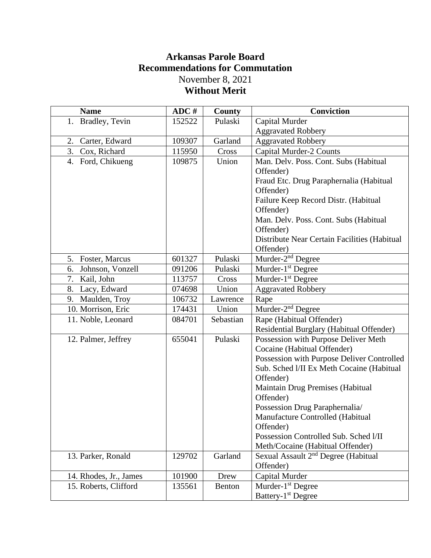## **Arkansas Parole Board Recommendations for Commutation** November 8, 2021 **Without Merit**

| <b>Name</b>            | ADC #  | County    | <b>Conviction</b>                               |
|------------------------|--------|-----------|-------------------------------------------------|
| 1. Bradley, Tevin      | 152522 | Pulaski   | Capital Murder                                  |
|                        |        |           | <b>Aggravated Robbery</b>                       |
| 2.<br>Carter, Edward   | 109307 | Garland   | <b>Aggravated Robbery</b>                       |
| 3. Cox, Richard        | 115950 | Cross     | <b>Capital Murder-2 Counts</b>                  |
| 4. Ford, Chikueng      | 109875 | Union     | Man. Delv. Poss. Cont. Subs (Habitual           |
|                        |        |           | Offender)                                       |
|                        |        |           | Fraud Etc. Drug Paraphernalia (Habitual         |
|                        |        |           | Offender)                                       |
|                        |        |           | Failure Keep Record Distr. (Habitual            |
|                        |        |           | Offender)                                       |
|                        |        |           | Man. Delv. Poss. Cont. Subs (Habitual           |
|                        |        |           | Offender)                                       |
|                        |        |           | Distribute Near Certain Facilities (Habitual    |
|                        |        |           | Offender)                                       |
| 5. Foster, Marcus      | 601327 | Pulaski   | Murder-2 <sup>nd</sup> Degree                   |
| 6.<br>Johnson, Vonzell | 091206 | Pulaski   | Murder- $1st$ Degree                            |
| 7.<br>Kail, John       | 113757 | Cross     | Murder-1 <sup>st</sup> Degree                   |
| 8.<br>Lacy, Edward     | 074698 | Union     | <b>Aggravated Robbery</b>                       |
| 9. Maulden, Troy       | 106732 | Lawrence  | Rape                                            |
| 10. Morrison, Eric     | 174431 | Union     | Murder-2 <sup>nd</sup> Degree                   |
| 11. Noble, Leonard     | 084701 | Sebastian | Rape (Habitual Offender)                        |
|                        |        |           | Residential Burglary (Habitual Offender)        |
| 12. Palmer, Jeffrey    | 655041 | Pulaski   | Possession with Purpose Deliver Meth            |
|                        |        |           | Cocaine (Habitual Offender)                     |
|                        |        |           | Possession with Purpose Deliver Controlled      |
|                        |        |           | Sub. Sched I/II Ex Meth Cocaine (Habitual       |
|                        |        |           | Offender)                                       |
|                        |        |           | Maintain Drug Premises (Habitual                |
|                        |        |           | Offender)                                       |
|                        |        |           | Possession Drug Paraphernalia/                  |
|                        |        |           | Manufacture Controlled (Habitual                |
|                        |        |           | Offender)                                       |
|                        |        |           | Possession Controlled Sub. Sched I/II           |
|                        |        |           | Meth/Cocaine (Habitual Offender)                |
| 13. Parker, Ronald     | 129702 | Garland   | Sexual Assault 2 <sup>nd</sup> Degree (Habitual |
|                        |        |           | Offender)                                       |
| 14. Rhodes, Jr., James | 101900 | Drew      | Capital Murder                                  |
| 15. Roberts, Clifford  | 135561 | Benton    | Murder- $1st$ Degree                            |
|                        |        |           | Battery-1 <sup>st</sup> Degree                  |